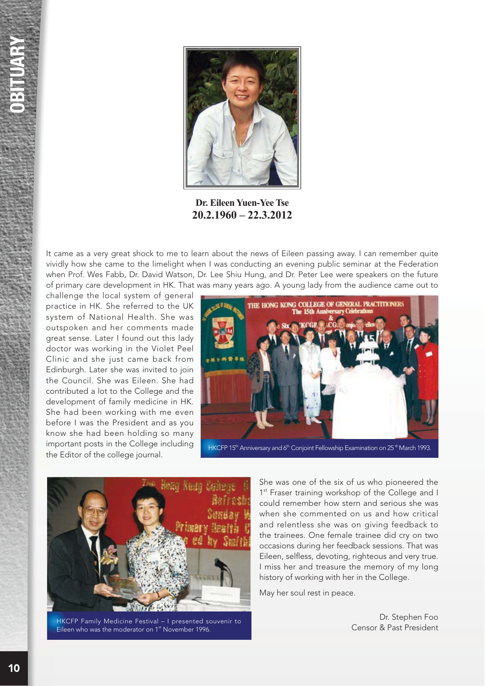

**Dr. Eileen Yuen-Yee Tse** 20.2.1960 - 22.3.2012

It came as a very great shock to me to learn about the news of Eileen passing away. I can remember quite vividly how she came to the limelight when I was conducting an evening public seminar at the Federation when Prof. Wes Fabb, Dr. David Watson, Dr. Lee Shiu Hung, and Dr. Peter Lee were speakers on the future of primary care development in HK. That was many years ago. A young lady from the audience came out to

challenge the local system of general practice in HK. She referred to the UK system of National Health. She was outspoken and her comments made great sense. Later I found out this lady doctor was working in the Violet Peel Clinic and she just came back from Edinburgh. Later she was invited to join the Council. She was Eileen. She had contributed a lot to the College and the development of family medicine in HK. She had been working with me even before I was the President and as you know she had been holding so many important posts in the College including the Editor of the college journal.





HKCFP Family Medicine Festival – I presented souvenir to and the moderator of the Censor & Past President Co<br>Eileen who was the moderator on 1st November 1996.

She was one of the six of us who pioneered the 1<sup>st</sup> Fraser training workshop of the College and I could remember how stern and serious she was when she commented on us and how critical and relentless she was on giving feedback to the trainees. One female trainee did cry on two occasions during her feedback sessions. That was Eileen, selfless, devoting, righteous and very true. I miss her and treasure the memory of my long history of working with her in the College.

May her soul rest in peace.

Dr. Stephen Foo